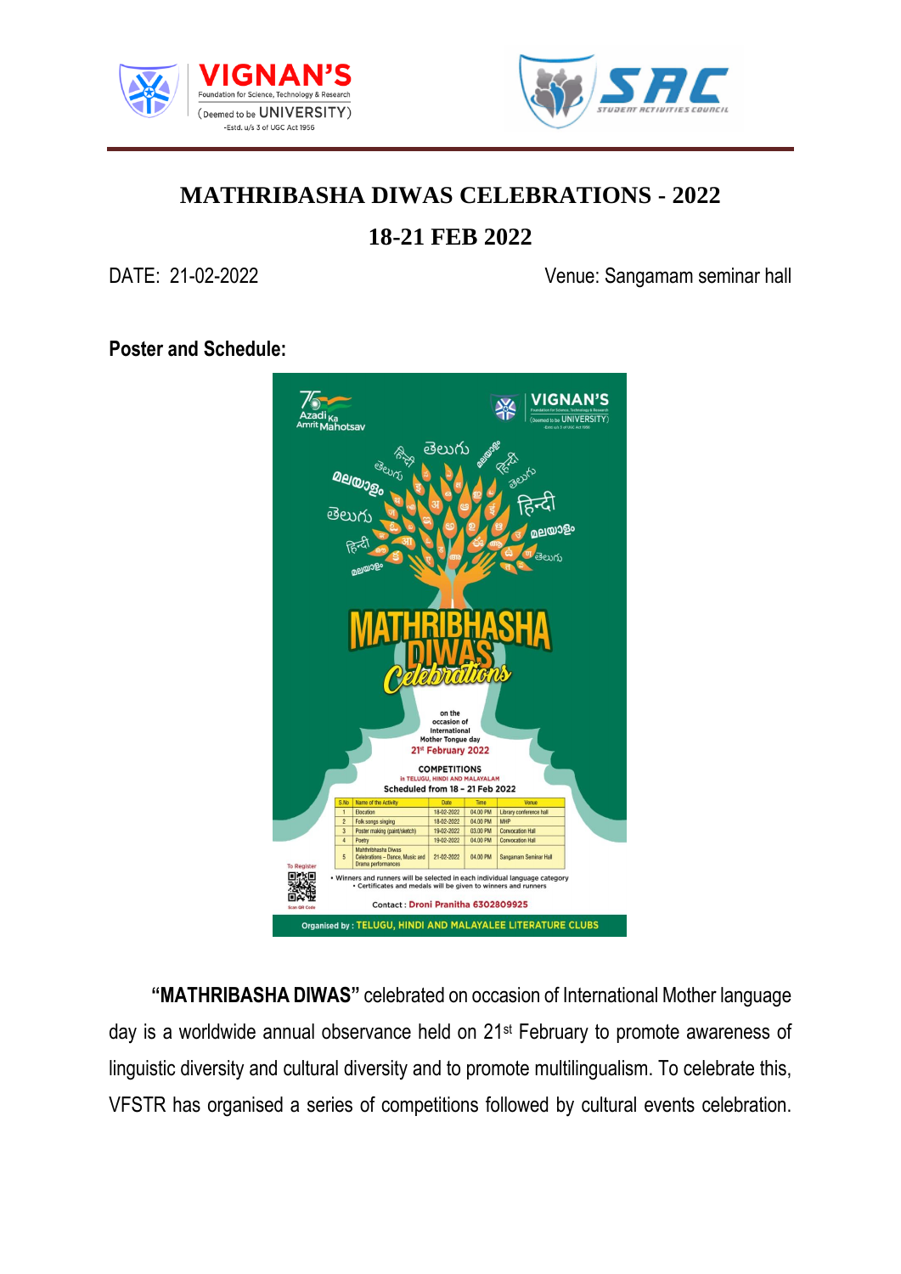



## **MATHRIBASHA DIWAS CELEBRATIONS - 2022**

## **18-21 FEB 2022**

DATE: 21-02-2022 Venue: Sangamam seminar hall

## **Poster and Schedule:**



**"MATHRIBASHA DIWAS"** celebrated on occasion of International Mother language day is a worldwide annual observance held on 21st February to promote awareness of linguistic diversity and cultural diversity and to promote multilingualism. To celebrate this, VFSTR has organised a series of competitions followed by cultural events celebration.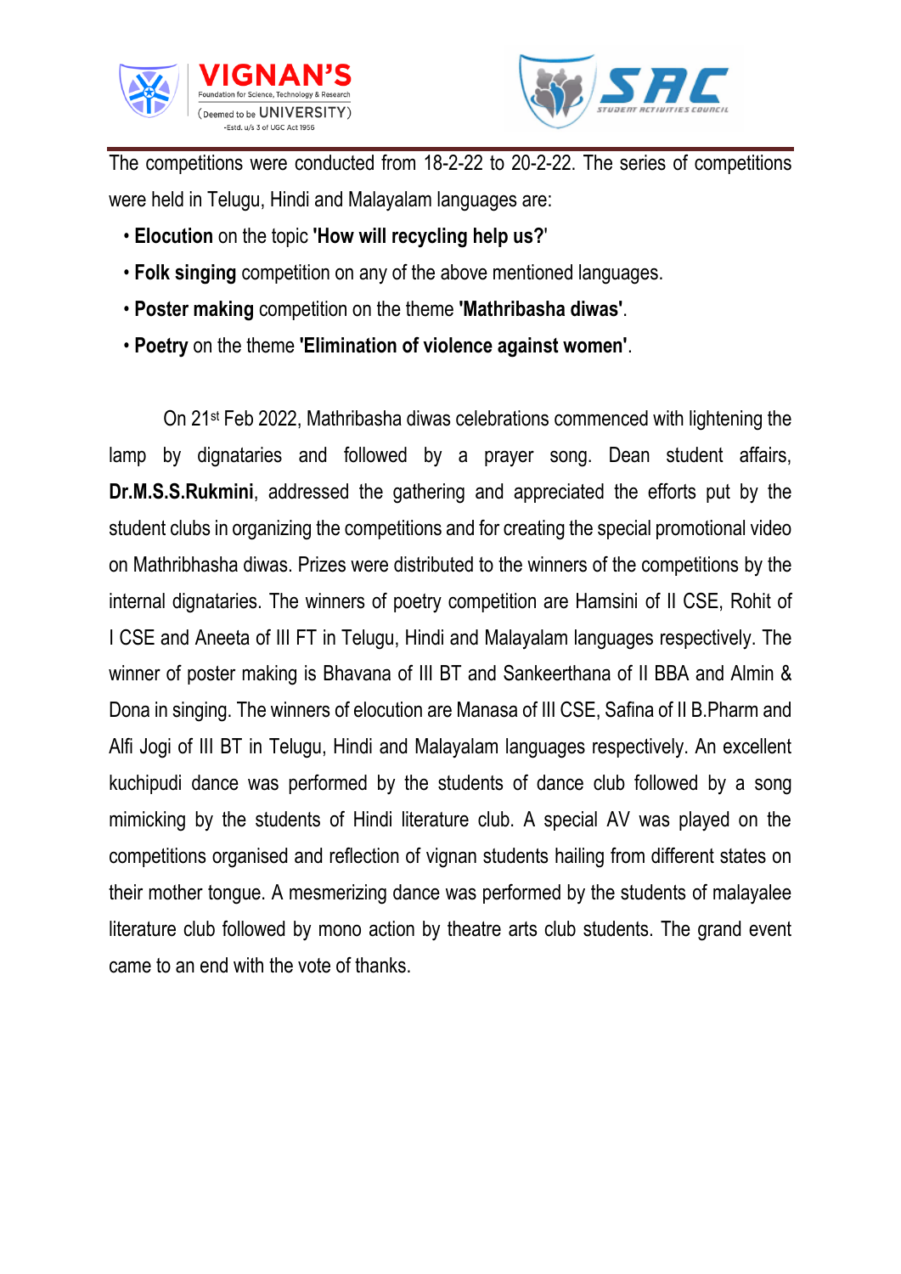



The competitions were conducted from 18-2-22 to 20-2-22. The series of competitions were held in Telugu, Hindi and Malayalam languages are:

- **Elocution** on the topic **'How will recycling help us?**'
- **Folk singing** competition on any of the above mentioned languages.
- **Poster making** competition on the theme **'Mathribasha diwas'**.
- **Poetry** on the theme **'Elimination of violence against women'**.

On 21st Feb 2022, Mathribasha diwas celebrations commenced with lightening the lamp by dignataries and followed by a prayer song. Dean student affairs, **Dr.M.S.S.Rukmini**, addressed the gathering and appreciated the efforts put by the student clubs in organizing the competitions and for creating the special promotional video on Mathribhasha diwas. Prizes were distributed to the winners of the competitions by the internal dignataries. The winners of poetry competition are Hamsini of II CSE, Rohit of I CSE and Aneeta of III FT in Telugu, Hindi and Malayalam languages respectively. The winner of poster making is Bhavana of III BT and Sankeerthana of II BBA and Almin & Dona in singing. The winners of elocution are Manasa of III CSE, Safina of II B.Pharm and Alfi Jogi of III BT in Telugu, Hindi and Malayalam languages respectively. An excellent kuchipudi dance was performed by the students of dance club followed by a song mimicking by the students of Hindi literature club. A special AV was played on the competitions organised and reflection of vignan students hailing from different states on their mother tongue. A mesmerizing dance was performed by the students of malayalee literature club followed by mono action by theatre arts club students. The grand event came to an end with the vote of thanks.